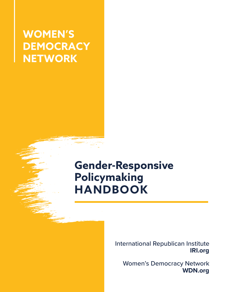# **WOMEN'S DEMOCRACY NETWORK**

# **Gender-Responsive Policymaking HANDBOOK**

International Republican Institute **IRI.org**

Women's Democracy Network **WDN.org**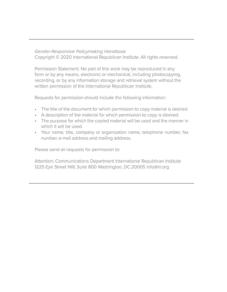#### *Gender-Responsive Policymaking Handbook*

Copyright © 2020 International Republican Institute. All rights reserved.

Permission Statement: No part of this work may be reproduced in any form or by any means, electronic or mechanical, including photocopying, recording, or by any information storage and retrieval system without the written permission of the International Republican Institute.

Requests for permission should include the following information:

- The title of the document for which permission to copy material is desired.
- A description of the material for which permission to copy is desired.
- The purpose for which the copied material will be used and the manner in which it will be used.
- Your name, title, company or organization name, telephone number, fax number, e-mail address and mailing address.

Please send all requests for permission to:

Attention: Communications Department International Republican Institute 1225 Eye Street NW, Suite 800 Washington, DC 20005 info@iri.org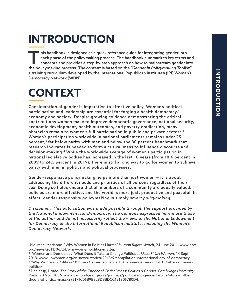# **INTRODUCTION**

 $\blacksquare$  his handbook is designed as a quick reference guide for integrating gender into each phase of the policymaking process. The handbook summarizes key terms and concepts and provides a step-by-step approach on how to mainstream gender into the policymaking process. The content is based on the *"Gender in Policymaking Toolkit"* a training curriculum developed by the International Republican Institute's (IRI) Women's Democracy Network (WDN).

# **CONTEXT**

Consideration of gender is imperative to effective policy. Women's political participation and leadership are essential for forging a health democracy,<sup>1</sup> economy and society. Despite growing evidence demonstrating the critical contributions women make to improve democratic governance, national security, economic development, health outcomes, and poverty eradication, many obstacles remain to women's full participation in public and private sectors.2 Women's participation worldwide in national parliaments remains under 25 percent,3 far below parity with men and below the 30 percent benchmark that research indicates is needed to form a critical mass to influence discourse and decision-making.4 While the worldwide average of women's participation in national legislative bodies has increased in the last 10 years (from 18.6 percent in 2009 to 24.5 percent in 2019), there is still a long way to go for women to achieve parity with men in politics and political processes.

Gender-responsive policymaking helps more than just women — it is about addressing the different needs and priorities of all persons regardless of their sex. Doing so helps ensure that all members of a community are equally valued, policies are more effective, and the world is more just, productive and peaceful. In effect, gender-responsive policymaking is simply *smart policymaking.*

*Disclaimer: This publication was made possible through the support provided by the National Endowment for Democracy. The opinions expressed herein are those of the author and do not necessarily reflect the views of the National Endowment for Democracy or the International Republican Institute, including the Women's Democracy Network.*

<sup>1</sup> Mollman, Marianne. "Why Women in Politics Matter." *Human Rights Watch*, 24 June 2011, www.hrw. org/news/2011/06/24/why-women-politics-matter.

<sup>2</sup> "Women and Democracy: What Does It Take to Change Politics as Usual?" *UN Women,* 14 Sept. 2018, www.unwomen.org/en/news/stories/2018/9/compilation-international-day-of-democracy.

<sup>3</sup> "Why Women in Politics?" *Women Deliver*, 28 Feb. 2018, womendeliver.org/2018/why-women-inpolitics/.

<sup>4</sup> Dahlerup, Drude. *The Story of the Theory of Critical Mass: Politics & Gender. Cambridge University Press,* 28 Nov. 2006, www.cambridge.org/core/journals/politics-and-gender/article/story-of-thetheory-of-critical-mass/592171C05B9B828DBBDCC121B05780D4.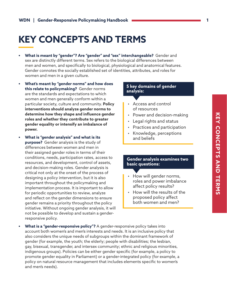# **KEY CONCEPTS AND TERMS**

- **• What is meant by "gender"? Are "gender" and "sex" interchangeable?** Gender and sex are distinctly different terms. Sex refers to the biological differences between men and women, and specifically to biological, physiological and anatomical features. Gender connotes the socially established set of identities, attributes, and roles for women and men in a given culture.
- **• What's meant by "gender norms" and how does this relate to policymaking?** Gender norms are the standards and expectations to which women and men generally conform within a particular society, culture and community. **Policy interventions should analyze gender norms to determine how they shape and influence gender roles and whether they contribute to greater gender equality or intensify an imbalance of power.**
- **• What is "gender analysis" and what is its purpose?** Gender analysis is the study of differences between women and men in their assigned gender roles in terms of their conditions, needs, participation rates, access to resources, and development, control of assets, and decision-making roles. Gender analysis is critical not only at the onset of the process of designing a policy intervention, but it is also important throughout the policymaking and implementation process. It is important to allow for periodic opportunities to review, analyze and reflect on the gender dimensions to ensure gender remains a priority throughout the policy initiative. Without ongoing gender analysis, it will not be possible to develop and sustain a genderresponsive policy.

#### **5 key domains of gender analysis:**

- Access and control of resources
- Power and decision-making
- Legal rights and status
- Practices and participation
- Knowledge, perceptions and beliefs

#### **Gender analysis examines two basic questions:**

- How will gender norms, roles and power imbalance affect policy results?
- How will the results of the proposed policy affect both women and men?
- **• What is a "gender-responsive policy"?** A gender-responsive policy takes into account both women's and men's interests and needs. It is an inclusive policy that also considers the unique needs of subgroups within the dominant framework of gender (for example, the youth; the elderly; people with disabilities; the lesbian, gay, bisexual, transgender, and intersex community; ethnic and religious minorities, indigenous groups). Policies can be either gender specific (for example, a policy to promote gender equality in Parliament) or a gender-integrated policy (for example, a policy on natural resource management that includes elements specific to women's and men's needs).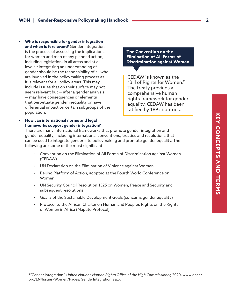- **• Who is responsible for gender integration and when is it relevant?** Gender integration is the process of assessing the implications for women and men of any planned action, including legislation, in all areas and at all levels.5 Integrating an understanding of gender should be the responsibility of all who are involved in the policymaking process as it is relevant for all policy areas. This may include issues that on their surface may not seem relevant but — after a gender analysis — may have consequences or elements that perpetuate gender inequality or have differential impact on certain subgroups of the population.
- **• How can international norms and legal frameworks support gender integration?**

**The Convention on the Elimination of All Forms of Discrimination against Women** 

CEDAW is known as the "Bill of Rights for Women." The treaty provides a comprehensive human rights framework for gender equality. CEDAW has been ratified by 189 countries.

There are many international frameworks that promote gender integration and gender equality, including international conventions, treaties and resolutions that can be used to integrate gender into policymaking and promote gender equality. The following are some of the most significant:

- Convention on the Elimination of All Forms of Discrimination against Women (CEDAW)
- UN Declaration on the Elimination of Violence against Women
- Beijing Platform of Action, adopted at the Fourth World Conference on Women
- UN Security Council Resolution 1325 on Women, Peace and Security and subsequent resolutions
- Goal 5 of the Sustainable Development Goals (concerns gender equality)
- Protocol to the African Charter on Human and People's Rights on the Rights of Women in Africa (Maputo Protocol)

<sup>5 &</sup>quot;Gender Integration." *United Nations Human Rights Office of the High Commissioner,* 2020, www.ohchr. org/EN/Issues/Women/Pages/GenderIntegration.aspx.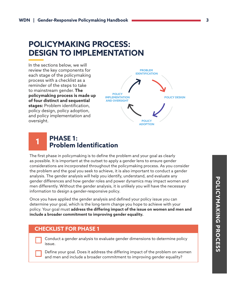# **POLICYMAKING PROCESS: DESIGN TO IMPLEMENTATION**

In the sections below, we will review the key components for each stage of the policymaking process with a checklist as a reminder of the steps to take to mainstream gender. **The policymaking process is made up of four distinct and sequential stages:** Problem identification, policy design, policy adoption, and policy implementation and oversight.



#### **PHASE 1: Problem Identification 1**

The first phase in policymaking is to define the problem and your goal as clearly as possible. It is important at the outset to apply a gender lens to ensure gender considerations are incorporated throughout the policymaking process. As you consider the problem and the goal you seek to achieve, it is also important to conduct a gender analysis. The gender analysis will help you identify, understand, and evaluate any gender differences and how gender roles and power dynamics may impact women and men differently. Without the gender analysis, it is unlikely you will have the necessary information to design a gender-responsive policy.

Once you have applied the gender analysis and defined your policy issue you can determine your goal, which is the long-term change you hope to achieve with your policy. Your goal must **address the differing impact of the issue on women and men and include a broader commitment to improving gender equality.** 

## **CHECKLIST FOR PHASE 1**

Conduct a gender analysis to evaluate gender dimensions to determine policy issue.

Define your goal. Does it address the differing impact of the problem on women and men and include a broader commitment to improving gender equality?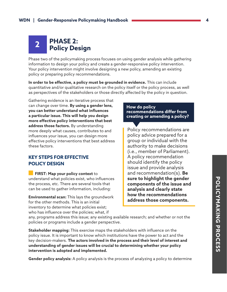# **PHASE 2: Policy Design 2**

Phase two of the policymaking process focuses on using gender analysis while gathering information to design your policy and create a gender-responsive policy intervention. Your policy intervention might involve designing a new policy, amending an existing policy or preparing policy recommendations.

**In order to be effective, a policy must be grounded in evidence.** This can include quantitative and/or qualitative research on the policy itself or the policy process, as well as perspectives of the stakeholders or those directly affected by the policy in question.

Gathering evidence is an iterative process that can change over time. **By using a gender lens, you can better understand what influences a particular issue. This will help you design more effective policy interventions that best address those factors.** By understanding more deeply what causes, contributes to and influences your issue, you can design more effective policy interventions that best address these factors.

## **KEY STEPS FOR EFFECTIVE POLICY DESIGN**

 **FIRST: Map your policy context** to understand what policies exist, who influences the process, etc. There are several tools that can be used to gather information, including:

**Environmental scan:** This lays the groundwork for the other methods. This is an initial inventory to determine what policies exist; who has influence over the policies; what, if

#### **How do policy recommendations differ from creating or amending a policy?**

Policy recommendations are policy advice prepared for a group or individual with the authority to make decisions (i.e., member of Parliament). A policy recommendation should identify the policy issue and provide analysis and recommendation(s). **Be sure to highlight the gender components of the issue and analysis and clearly state how the recommendations address those components.**

any, programs address this issue; any existing available research; and whether or not the policies or programs include a gender perspective.

**Stakeholder mapping:** This exercise maps the stakeholders with influence on the policy issue. It is important to know which institutions have the power to act and the key decision-makers. **The actors involved in the process and their level of interest and understanding of gender issues will be crucial to determining whether your policy intervention is adopted and implemented.** 

**Gender policy analysis:** A policy analysis is the process of analyzing a policy to determine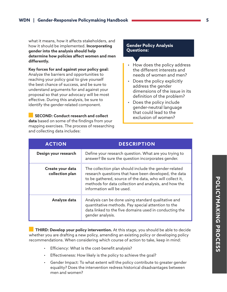what it means, how it affects stakeholders, and how it should be implemented. **Incorporating gender into the analysis should help determine how policies affect women and men differently.**

**Key forces for and against your policy goal:** Analyze the barriers and opportunities to reaching your policy goal to give yourself the best chance of success, and be sure to understand arguments for and against your proposal so that your advocacy will be most effective. During this analysis, be sure to identify the gender-related component.

 **SECOND: Conduct research and collect data** based on some of the findings from your mapping exercises. The process of researching and collecting data includes:

#### **Gender Policy Analysis Questions:**

- How does the policy address the different interests and needs of women and men?
- Does the policy explicitly address the gender dimensions of the issue in its definition of the problem?
- Does the policy include gender-neutral language that could lead to the exclusion of women?

| <b>ACTION</b>                       | <b>DESCRIPTION</b>                                                                                                                                                                                                                                               |
|-------------------------------------|------------------------------------------------------------------------------------------------------------------------------------------------------------------------------------------------------------------------------------------------------------------|
| Design your research                | Define your research question. What are you trying to<br>answer? Be sure the question incorporates gender.                                                                                                                                                       |
| Create your data<br>collection plan | The collection plan should include the gender-related<br>research questions that have been developed, the data<br>to be gathered, source of the data, who will collect it,<br>methods for data collection and analysis, and how the<br>information will be used. |
| Analyze data                        | Analysis can be done using standard qualitative and<br>quantitative methods. Pay special attention to the<br>data linked to the five domains used in conducting the<br>gender analysis.                                                                          |

 **THIRD: Develop your policy intervention.** At this stage, you should be able to decide whether you are drafting a new policy, amending an existing policy or developing policy recommendations. When considering which course of action to take, keep in mind:

- Efficiency: What is the cost-benefit analysis?
- Effectiveness: How likely is the policy to achieve the goal?
- Gender Impact: To what extent will the policy contribute to greater gender equality? Does the intervention redress historical disadvantages between men and women?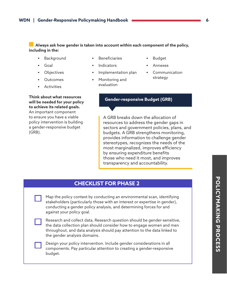**Always ask how gender is taken into account within each component of the policy, including in the:**

- **•** Background
- **•** Goal
- **•** Objectives
- **•** Outcomes
- **•** Activities

**Think about what resources will be needed for your policy to achieve its related goals.**  An important component to ensure you have a viable policy intervention is building a gender-responsive budget (GRB).

- **•** Beneficiaries
- **•** Indicators
- **•** Implementation plan
- **•** Monitoring and evaluation
- **•** Budget
- **•** Annexes
- **•** Communication strategy

#### **Gender-responsive Budget (GRB)**

A GRB breaks down the allocation of resources to address the gender gaps in sectors and government policies, plans, and budgets. A GRB strengthens monitoring, provides information to challenge gender stereotypes, recognizes the needs of the most marginalized, improves efficiency by ensuring expenditure benefits those who need it most, and improves transparency and accountability.

### **CHECKLIST FOR PHASE 2**

| Map the policy context by conducting an environmental scan, identifying    |  |
|----------------------------------------------------------------------------|--|
| stakeholders (particularly those with an interest or expertise in gender), |  |
| conducting a gender policy analysis, and determining forces for and        |  |
| against your policy goal.                                                  |  |

| Research and collect data. Research question should be gender-sensitive, |
|--------------------------------------------------------------------------|
| the data collection plan should consider how to engage women and men     |
| throughout, and data analysis should pay attention to the data linked to |
| the gender analysis domains.                                             |

Design your policy intervention. Include gender considerations in all components. Pay particular attention to creating a gender-responsive budget.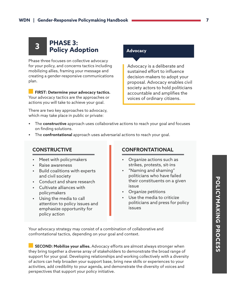# **PHASE 3: Policy Adoption 3**

Phase three focuses on collective advocacy for your policy, and concerns tactics including mobilizing allies, framing your message and creating a gender-responsive communications plan.

 **FIRST: Determine your advocacy tactics.** Your advocacy tactics are the approaches or actions you will take to achieve your goal.

There are two key approaches to advocacy, which may take place in public or private:

#### **Advocacy**

Advocacy is a deliberate and sustained effort to influence decision-makers to adopt your proposal. Advocacy enables civil society actors to hold politicians accountable and amplifies the voices of ordinary citizens.

- **•** The **constructive** approach uses collaborative actions to reach your goal and focuses on finding solutions.
- **•** The **confrontational** approach uses adversarial actions to reach your goal.

### **CONSTRUCTIVE**

- **•** Meet with policymakers
- **•** Raise awareness
- **•** Build coalitions with experts and civil society
- **•** Conduct and share research
- **•** Cultivate alliances with policymakers
- **•** Using the media to call attention to policy issues and emphasize opportunity for policy action

### **CONFRONTATIONAL**

- **•** Organize actions such as strikes, protests, sit-ins
- **•** "Naming and shaming" politicians who have failed their constituents on a given issue
- **•** Organize petitions
- **•** Use the media to criticize politicians and press for policy issues

Your advocacy strategy may consist of a combination of collaborative and confrontational tactics, depending on your goal and context.

 **SECOND: Mobilize your allies.** Advocacy efforts are almost always stronger when they bring together a diverse array of stakeholders to demonstrate the broad range of support for your goal. Developing relationships and working collectively with a diversity of actors can help broaden your support base, bring new skills or experiences to your activities, add credibility to your agenda, and demonstrate the diversity of voices and perspectives that support your policy initiative.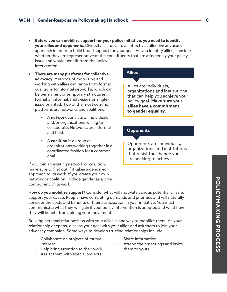- **• Before you can mobilize support for your policy initiative, you need to identify your allies and opponents.** Diversity is crucial to an effective collective advocacy approach in order to build broad support for your goal. As you identify allies, consider whether they are representative of the constituents that are affected by your policy issue and would benefit from the policy intervention.
- **• There are many platforms for collective advocacy.** Methods of mobilizing and working with allies can range from formal coalitions to informal networks, which can be permanent or temporary structures, formal or informal, multi-issue or singleissue oriented. Two of the most common platforms are networks and coalitions.
	- **•** A **network** consists of individuals and/or organizations willing to collaborate. Networks are informal and fluid.
	- **•** A **coalition** is a group of organizations working together in a coordinated fashion for a common goal.

If you join an existing network or coalition, make sure to find out if it takes a gendered approach to its work. If you create your own network or coalition, include gender as a core component of its work.

## **Allies**

Allies are individuals, organizations and institutions that can help you achieve your policy goal. **Make sure your allies have a commitment to gender equality.**

#### **Opponents**

Opponents are individuals, organizations and institutions that resist the change you are seeking to achieve.

**How do you mobilize support?** Consider what will motivate various potential allies to support your cause. People have competing demands and priorities and will naturally consider the costs and benefits of their participation in your initiative. You must communicate what they will gain if your policy intervention is adopted and what how they will benefit from joining your movement.

Building personal relationships with your allies is one way to mobilize them. As your relationship deepens, discuss your goal with your allies and ask them to join your advocacy campaign. Some ways to develop trusting relationships include:

- **•** Collaborate on projects of mutual interest
- **•** Help bring attention to their work
- **•** Assist them with special projects
- **•** Share information
- **•** Attend their meetings and invite them to yours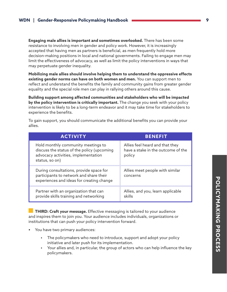**Engaging male allies is important and sometimes overlooked.** There has been some resistance to involving men in gender and policy work. However, it is increasingly accepted that having men as partners is beneficial, as men frequently hold more decision-making positions in local and national governments. Failing to engage men may limit the effectiveness of advocacy, as well as limit the policy interventions in ways that may perpetuate gender inequality.

**Mobilizing male allies should involve helping them to understand the oppressive effects existing gender norms can have on both women and men.** You can support men to reflect and understand the benefits the family and community gains from greater gender equality and the special role men can play in rallying others around this cause.

**Building support among affected communities and stakeholders who will be impacted by the policy intervention is critically important.** The change you seek with your policy intervention is likely to be a long-term endeavor and it may take time for stakeholders to experience the benefits.

| <b>ACTIVITY</b>                                                                                                                           | <b>BENEFIT</b>                                                                  |  |  |
|-------------------------------------------------------------------------------------------------------------------------------------------|---------------------------------------------------------------------------------|--|--|
| Hold monthly community meetings to<br>discuss the status of the policy (upcoming<br>advocacy activities, implementation<br>status, so on) | Allies feel heard and that they<br>have a stake in the outcome of the<br>policy |  |  |
| During consultations, provide space for<br>participants to network and share their<br>experiences and ideas for creating change           | Allies meet people with similar<br>concerns                                     |  |  |
| Partner with an organization that can<br>provide skills training and networking                                                           | Allies, and you, learn applicable<br>skills                                     |  |  |

To gain support, you should communicate the additional benefits you can provide your allies.

**THIRD: Craft your message.** Effective messaging is tailored to your audience and inspires them to join you. Your audience includes individuals, organizations or institutions that can push your policy intervention forward.

- **•** You have two primary audiences:
	- **•** The policymakers who need to introduce, support and adopt your policy initiative and later push for its implementation.
	- **•** Your allies and, in particular, the group of actors who can help influence the key policymakers.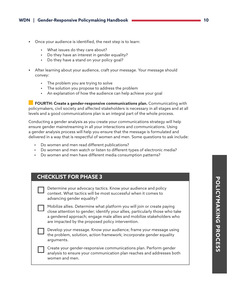- **•** Once your audience is identified, the next step is to learn:
	- **•** What issues do they care about?
	- **•** Do they have an interest in gender equality?
	- **•** Do they have a stand on your policy goal?
- **•** After learning about your audience, craft your message. Your message should convey:
	- **•** The problem you are trying to solve
	- **•** The solution you propose to address the problem
	- **•** An explanation of how the audience can help achieve your goal

 **FOURTH: Create a gender-responsive communications plan.** Communicating with policymakers, civil society and affected stakeholders is necessary in all stages and at all levels and a good communications plan is an integral part of the whole process.

Conducting a gender analysis as you create your communications strategy will help ensure gender mainstreaming in all your interactions and communications. Using a gender analysis process will help you ensure that the message is formulated and delivered in a way that is respectful of women and men. Some questions to ask include:

- **•** Do women and men read different publications?
- **•** Do women and men watch or listen to different types of electronic media?
- **•** Do women and men have different media consumption patterns?

## **CHECKLIST FOR PHASE 3**

| Determine your advocacy tactics. Know your audience and policy |
|----------------------------------------------------------------|
| context. What tactics will be most successful when it comes to |
| advancing gender equality?                                     |

Mobilize allies. Determine what platform you will join or create paying close attention to gender; identify your allies, particularly those who take a gendered approach; engage male allies and mobilize stakeholders who are impacted by the proposed policy intervention.

Develop your message. Know your audience; frame your message using the problem, solution, action framework; incorporate gender equality arguments.

Create your gender-responsive communications plan. Perform gender analysis to ensure your communication plan reaches and addresses both women and men.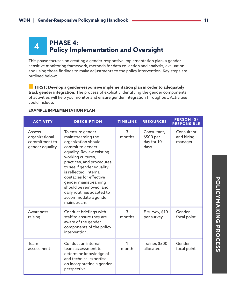# **PHASE 4: Policy Implementation and Oversight 4**

This phase focuses on creating a gender-responsive implementation plan, a gendersensitive monitoring framework, methods for data collection and analysis, evaluation and using those findings to make adjustments to the policy intervention. Key steps are outlined below:

 **FIRST: Develop a gender-responsive implementation plan in order to adequately track gender integration.** The process of explicitly identifying the gender components of activities will help you monitor and ensure gender integration throughout. Activities could include:

| <b>ACTIVITY</b>                                                     | <b>DESCRIPTION</b>                                                                                                                                                                                                                                                                                                                                                      | <b>TIMELINE</b>          | <b>RESOURCES</b>                               | <b>PERSON (S)</b><br><b>RESPONSIBLE</b> |
|---------------------------------------------------------------------|-------------------------------------------------------------------------------------------------------------------------------------------------------------------------------------------------------------------------------------------------------------------------------------------------------------------------------------------------------------------------|--------------------------|------------------------------------------------|-----------------------------------------|
| <b>Assess</b><br>organizational<br>commitment to<br>gender equality | To ensure gender<br>mainstreaming the<br>organization should<br>commit to gender<br>equality. Review existing<br>working cultures,<br>practices, and procedures<br>to see if gender equality<br>is reflected. Internal<br>obstacles for effective<br>gender mainstreaming<br>should be removed, and<br>daily routines adapted to<br>accommodate a gender<br>mainstream. | 3<br>months              | Consultant,<br>\$500 per<br>day for 10<br>days | Consultant<br>and hiring<br>manager     |
| Awareness<br>raising                                                | Conduct briefings with<br>staff to ensure they are<br>aware of the gender<br>components of the policy<br>intervention.                                                                                                                                                                                                                                                  | $\overline{3}$<br>months | E-survey, \$10<br>per survey                   | Gender<br>focal point                   |
| Team<br>assessment                                                  | Conduct an internal<br>team assessment to<br>determine knowledge of<br>and technical expertise<br>on incorporating a gender<br>perspective.                                                                                                                                                                                                                             | 1<br>month               | Trainer, \$500<br>allocated                    | Gender<br>focal point                   |

#### **EXAMPLE IMPLEMENTATION PLAN**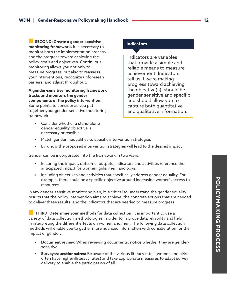**SECOND: Create a gender-sensitive monitoring framework.** It is necessary to monitor both the implementation process and the progress toward achieving the policy goals and objectives. Continuous monitoring allows you not only to measure progress, but also to reassess

your interventions, recognize unforeseen barriers, and adjust throughout.

**A gender-sensitive monitoring framework tracks and monitors the gender components of the policy intervention.** Some points to consider as you put together your gender-sensitive monitoring framework:

**•** Consider whether a stand-alone gender equality objective is necessary or feasible

#### **Indicators**

Indicators are variables that provide a simple and reliable means to measure achievement. Indicators tell us if we're making progress toward achieving the objective(s), should be gender sensitive and specific and should allow you to capture both quantitative and qualitative information.

- **•** Match gender inequalities to specific intervention strategies
- **•** Link how the proposed intervention strategies will lead to the desired impact

Gender can be incorporated into the framework in two ways:

- **•** Ensuring the impact, outcome, outputs, indicators and activities reference the anticipated impact for women, girls, men, and boys.
- **•** Including objectives and activities that specifically address gender equality. For example, there could be a specific objective around increasing women's access to resources.

In any gender-sensitive monitoring plan, it is critical to understand the gender equality results that the policy intervention aims to achieve, the concrete actions that are needed to deliver these results, and the indicators that are needed to measure progress.

 **THIRD: Determine your methods for data collection.** It is important to use a variety of data collection methodologies in order to improve data reliability and help in interpreting the different effects on women and men. The following data collection methods will enable you to gather more nuanced information with consideration for the impact of gender:

- **• Document review:** When reviewing documents, notice whether they are gendersensitive.
- **• Surveys/questionnaires:** Be aware of the various literacy rates (women and girls often have higher illiteracy rates) and take appropriate measures to adapt survey delivery to enable the participation of all.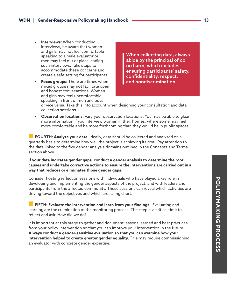- **Interviews:** When conducting interviews, be aware that women and girls may not feel comfortable speaking to a male evaluator or men may feel out of place leading such interviews. Take steps to accommodate these concerns and create a safe setting for participants.
- **• Focus groups:** There are times when mixed groups may not facilitate open and honest conversations. Women and girls may feel uncomfortable speaking in front of men and boys

When collecting data, always abide by the principal of do no harm, which includes ensuring participants' safety, confidentiality, respect, and nondiscrimination.

or vice versa. Take this into account when designing your consultation and data collection sessions.

**• Observation locations:** Vary your observation locations. You may be able to glean more information if you interview women in their homes, where some may feel more comfortable and be more forthcoming than they would be in public spaces.

 **FOURTH: Analyze your data.** Ideally, data should be collected and analyzed on a quarterly basis to determine how well the project is achieving its goal. Pay attention to the data linked to the five gender analysis domains outlined in the Concepts and Terms section above.

**If your data indicates gender gaps, conduct a gender analysis to determine the root causes and undertake corrective actions to ensure the interventions are carried out in a way that reduces or eliminates those gender gaps.** 

Consider hosting reflection sessions with individuals who have played a key role in developing and implementing the gender aspects of the project, and with leaders and participants from the affected community. These sessions can reveal which activities are driving toward the objectives and which are falling short.

 **FIFTH: Evaluate the intervention and learn from your findings.** Evaluating and learning are the culmination of the monitoring process. This step is a critical time to reflect and ask: How did we do?

It is important at this stage to gather and document lessons learned and best practices from your policy intervention so that you can improve your intervention in the future. **Always conduct a gender-sensitive evaluation so that you can examine how your intervention helped to create greater gender equality.** This may require commissioning an evaluator with concrete gender expertise.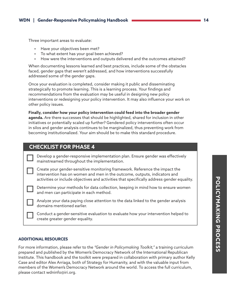Three important areas to evaluate:

- **•** Have your objectives been met?
- **•** To what extent has your goal been achieved?
- **•** How were the interventions and outputs delivered and the outcomes attained?

When documenting lessons learned and best practices, include some of the obstacles faced, gender gaps that weren't addressed, and how interventions successfully addressed some of the gender gaps.

Once your evaluation is completed, consider making it public and disseminating strategically to promote learning. This is a learning process. Your findings and recommendations from the evaluation may be useful in designing new policy interventions or redesigning your policy intervention. It may also influence your work on other policy issues.

**Finally, consider how your policy intervention could feed into the broader gender agenda.** Are there successes that should be highlighted, shared for inclusion in other initiatives or potentially scaled up further? Gendered policy interventions often occur in silos and gender analysis continues to be marginalized, thus preventing work from becoming institutionalized. Your aim should be to make this standard procedure.

## **CHECKLIST FOR PHASE 4**

Develop a gender-responsive implementation plan. Ensure gender was effectively mainstreamed throughout the implementation.

Create your gender-sensitive monitoring framework. Reference the impact the intervention has on women and men in the outcome, outputs, indicators and activities or include objectives and activities that specifically address gender equality.

Determine your methods for data collection, keeping in mind how to ensure women and men can participate in each method.

Analyze your data paying close attention to the data linked to the gender analysis domains mentioned earlier.

Conduct a gender-sensitive evaluation to evaluate how your intervention helped to create greater gender equality.

#### **ADDITIONAL RESOURCES**

For more information, please refer to the *"Gender in Policymaking Toolkit,"* a training curriculum prepared and published by the Women's Democracy Network of the International Republican Institute. This handbook and the toolkit were prepared in collaboration with primary author Kelly Case and editor Alex Arriaga, both of Strategy for Humanity, and with the valuable input from members of the Women's Democracy Network around the world. To access the full curriculum, please contact wdninfo@iri.org.